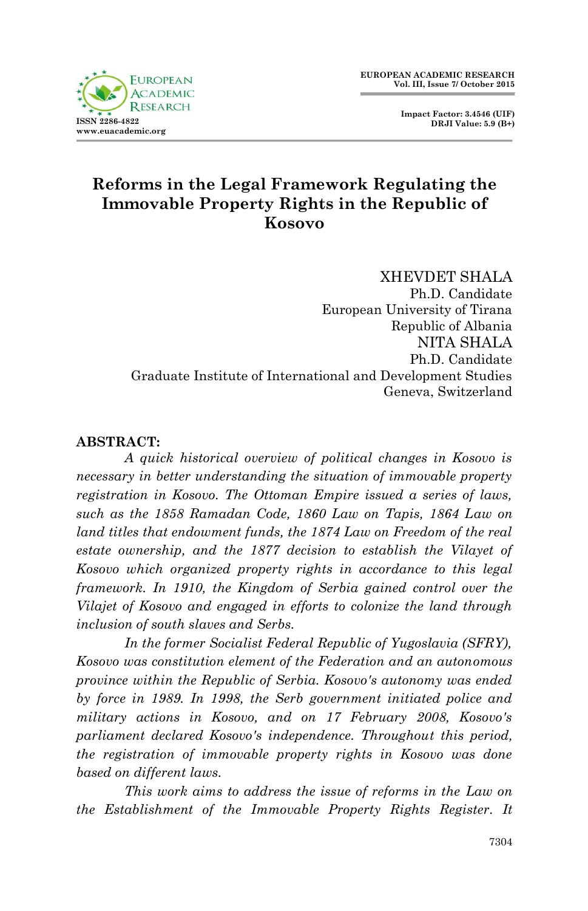

 **Impact Factor: 3.4546 (UIF) DRJI Value: 5.9 (B+)**

# **Reforms in the Legal Framework Regulating the Immovable Property Rights in the Republic of Kosovo**

XHEVDET SHALA Ph.D. Candidate European University of Tirana Republic of Albania NITA SHALA Ph.D. Candidate Graduate Institute of International and Development Studies Geneva, Switzerland

#### **ABSTRACT:**

*A quick historical overview of political changes in Kosovo is necessary in better understanding the situation of immovable property registration in Kosovo. The Ottoman Empire issued a series of laws, such as the 1858 Ramadan Code, 1860 Law on Tapis, 1864 Law on land titles that endowment funds, the 1874 Law on Freedom of the real estate ownership, and the 1877 decision to establish the Vilayet of Kosovo which organized property rights in accordance to this legal framework. In 1910, the Kingdom of Serbia gained control over the Vilajet of Kosovo and engaged in efforts to colonize the land through inclusion of south slaves and Serbs.*

*In the former Socialist Federal Republic of Yugoslavia (SFRY), Kosovo was constitution element of the Federation and an autonomous province within the Republic of Serbia. Kosovo's autonomy was ended by force in 1989. In 1998, the Serb government initiated police and military actions in Kosovo, and on 17 February 2008, Kosovo's parliament declared Kosovo's independence. Throughout this period, the registration of immovable property rights in Kosovo was done based on different laws.*

*This work aims to address the issue of reforms in the Law on the Establishment of the Immovable Property Rights Register. It*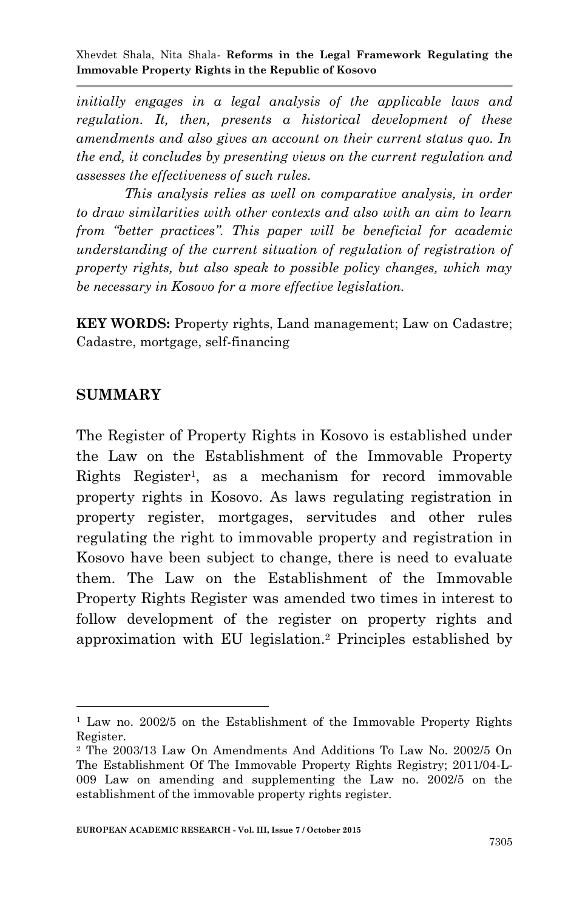*initially engages in a legal analysis of the applicable laws and regulation. It, then, presents a historical development of these amendments and also gives an account on their current status quo. In the end, it concludes by presenting views on the current regulation and assesses the effectiveness of such rules.*

*This analysis relies as well on comparative analysis, in order to draw similarities with other contexts and also with an aim to learn from "better practices". This paper will be beneficial for academic understanding of the current situation of regulation of registration of property rights, but also speak to possible policy changes, which may be necessary in Kosovo for a more effective legislation.*

**KEY WORDS:** Property rights, Land management; Law on Cadastre; Cadastre, mortgage, self-financing

#### **SUMMARY**

**.** 

The Register of Property Rights in Kosovo is established under the Law on the Establishment of the Immovable Property Rights Register<sup>1</sup> , as a mechanism for record immovable property rights in Kosovo. As laws regulating registration in property register, mortgages, servitudes and other rules regulating the right to immovable property and registration in Kosovo have been subject to change, there is need to evaluate them. The Law on the Establishment of the Immovable Property Rights Register was amended two times in interest to follow development of the register on property rights and approximation with EU legislation.<sup>2</sup> Principles established by

<sup>&</sup>lt;sup>1</sup> Law no. 2002/5 on the Establishment of the Immovable Property Rights Register.

<sup>2</sup> The 2003/13 Law On Amendments And Additions To Law No. 2002/5 On The Establishment Of The Immovable Property Rights Registry; 2011/04-L-009 Law on amending and supplementing the Law no. 2002/5 on the establishment of the immovable property rights register.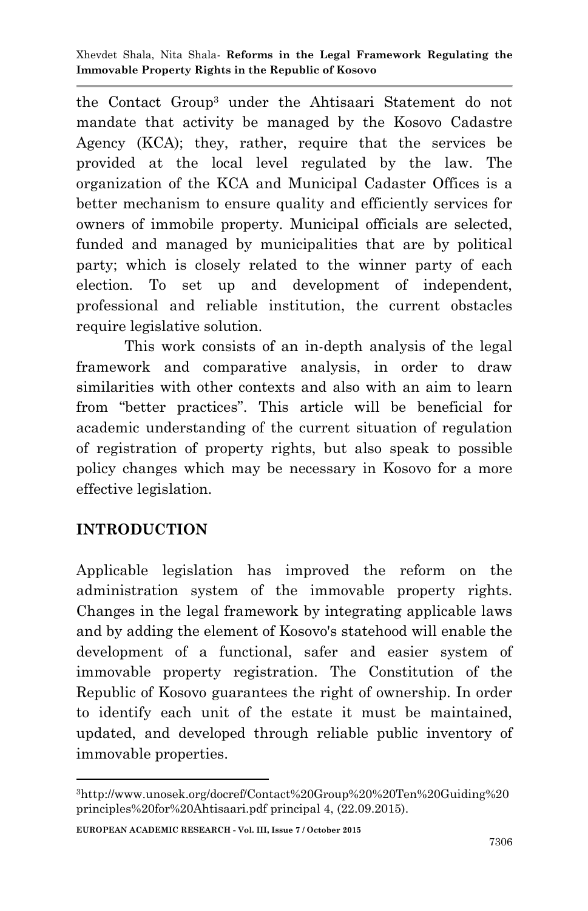the Contact Group<sup>3</sup> under the Ahtisaari Statement do not mandate that activity be managed by the Kosovo Cadastre Agency (KCA); they, rather, require that the services be provided at the local level regulated by the law. The organization of the KCA and Municipal Cadaster Offices is a better mechanism to ensure quality and efficiently services for owners of immobile property. Municipal officials are selected, funded and managed by municipalities that are by political party; which is closely related to the winner party of each election. To set up and development of independent, professional and reliable institution, the current obstacles require legislative solution.

This work consists of an in-depth analysis of the legal framework and comparative analysis, in order to draw similarities with other contexts and also with an aim to learn from "better practices". This article will be beneficial for academic understanding of the current situation of regulation of registration of property rights, but also speak to possible policy changes which may be necessary in Kosovo for a more effective legislation.

## **INTRODUCTION**

1

Applicable legislation has improved the reform on the administration system of the immovable property rights. Changes in the legal framework by integrating applicable laws and by adding the element of Kosovo's statehood will enable the development of a functional, safer and easier system of immovable property registration. The Constitution of the Republic of Kosovo guarantees the right of ownership. In order to identify each unit of the estate it must be maintained, updated, and developed through reliable public inventory of immovable properties.

**EUROPEAN ACADEMIC RESEARCH - Vol. III, Issue 7 / October 2015**

<sup>3</sup>http://www.unosek.org/docref/Contact%20Group%20%20Ten%20Guiding%20 principles%20for%20Ahtisaari.pdf principal 4, (22.09.2015).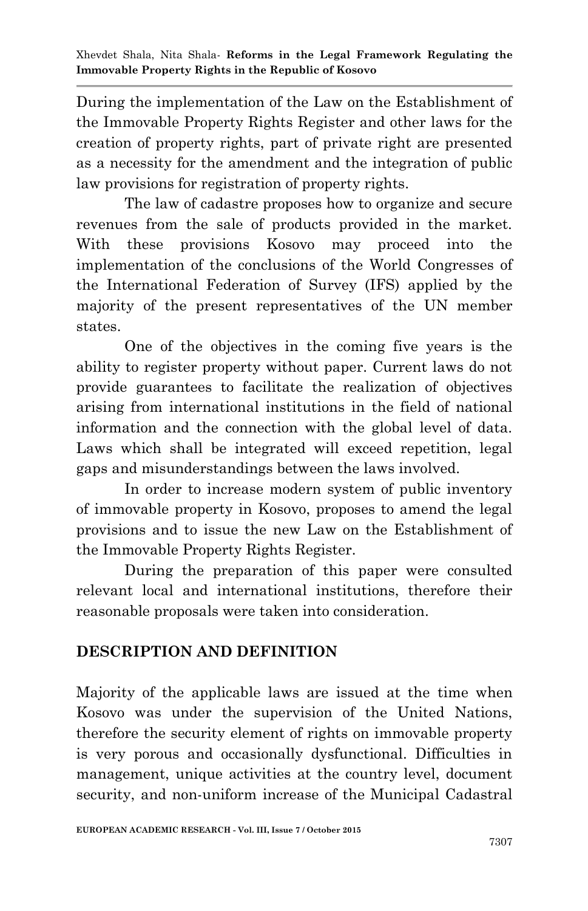During the implementation of the Law on the Establishment of the Immovable Property Rights Register and other laws for the creation of property rights, part of private right are presented as a necessity for the amendment and the integration of public law provisions for registration of property rights.

The law of cadastre proposes how to organize and secure revenues from the sale of products provided in the market. With these provisions Kosovo may proceed into the implementation of the conclusions of the World Congresses of the International Federation of Survey (IFS) applied by the majority of the present representatives of the UN member states.

One of the objectives in the coming five years is the ability to register property without paper. Current laws do not provide guarantees to facilitate the realization of objectives arising from international institutions in the field of national information and the connection with the global level of data. Laws which shall be integrated will exceed repetition, legal gaps and misunderstandings between the laws involved.

In order to increase modern system of public inventory of immovable property in Kosovo, proposes to amend the legal provisions and to issue the new Law on the Establishment of the Immovable Property Rights Register.

During the preparation of this paper were consulted relevant local and international institutions, therefore their reasonable proposals were taken into consideration.

## **DESCRIPTION AND DEFINITION**

Majority of the applicable laws are issued at the time when Kosovo was under the supervision of the United Nations, therefore the security element of rights on immovable property is very porous and occasionally dysfunctional. Difficulties in management, unique activities at the country level, document security, and non-uniform increase of the Municipal Cadastral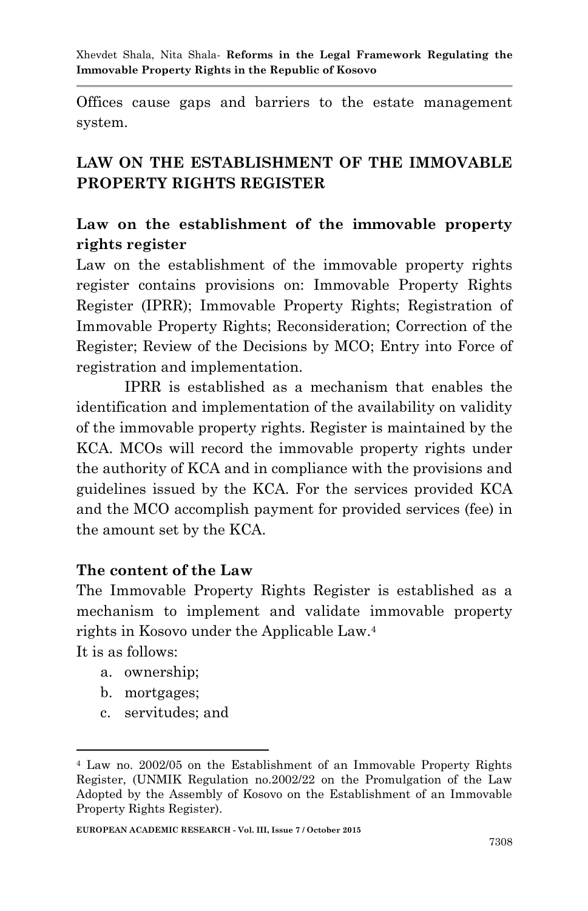Offices cause gaps and barriers to the estate management system.

# **LAW ON THE ESTABLISHMENT OF THE IMMOVABLE PROPERTY RIGHTS REGISTER**

# **Law on the establishment of the immovable property rights register**

Law on the establishment of the immovable property rights register contains provisions on: Immovable Property Rights Register (IPRR); Immovable Property Rights; Registration of Immovable Property Rights; Reconsideration; Correction of the Register; Review of the Decisions by MCO; Entry into Force of registration and implementation.

IPRR is established as a mechanism that enables the identification and implementation of the availability on validity of the immovable property rights. Register is maintained by the KCA. MCOs will record the immovable property rights under the authority of KCA and in compliance with the provisions and guidelines issued by the KCA. For the services provided KCA and the MCO accomplish payment for provided services (fee) in the amount set by the KCA.

#### **The content of the Law**

The Immovable Property Rights Register is established as a mechanism to implement and validate immovable property rights in Kosovo under the Applicable Law.<sup>4</sup>

It is as follows:

**.** 

- a. ownership;
- b. mortgages;
- c. servitudes; and

<sup>4</sup> Law no. 2002/05 on the Establishment of an Immovable Property Rights Register, (UNMIK Regulation no.2002/22 on the Promulgation of the Law Adopted by the Assembly of Kosovo on the Establishment of an Immovable Property Rights Register).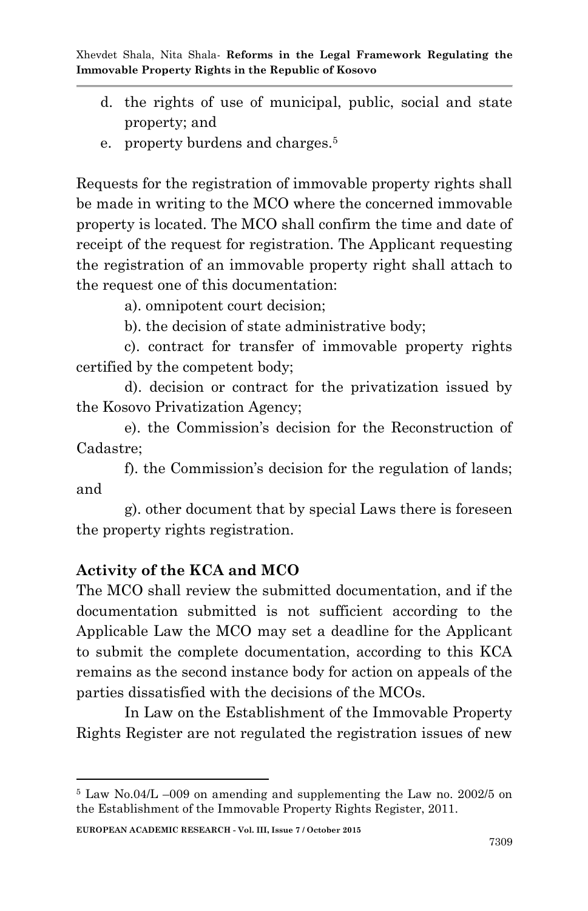- d. the rights of use of municipal, public, social and state property; and
- e. property burdens and charges.<sup>5</sup>

Requests for the registration of immovable property rights shall be made in writing to the MCO where the concerned immovable property is located. The MCO shall confirm the time and date of receipt of the request for registration. The Applicant requesting the registration of an immovable property right shall attach to the request one of this documentation:

a). omnipotent court decision;

b). the decision of state administrative body;

c). contract for transfer of immovable property rights certified by the competent body;

d). decision or contract for the privatization issued by the Kosovo Privatization Agency;

e). the Commission's decision for the Reconstruction of Cadastre;

f). the Commission's decision for the regulation of lands; and

g). other document that by special Laws there is foreseen the property rights registration.

## **Activity of the KCA and MCO**

1

The MCO shall review the submitted documentation, and if the documentation submitted is not sufficient according to the Applicable Law the MCO may set a deadline for the Applicant to submit the complete documentation, according to this KCA remains as the second instance body for action on appeals of the parties dissatisfied with the decisions of the MCOs.

In Law on the Establishment of the Immovable Property Rights Register are not regulated the registration issues of new

**EUROPEAN ACADEMIC RESEARCH - Vol. III, Issue 7 / October 2015**

<sup>5</sup> Law No.04/L –009 on amending and supplementing the Law no. 2002/5 on the Establishment of the Immovable Property Rights Register, 2011.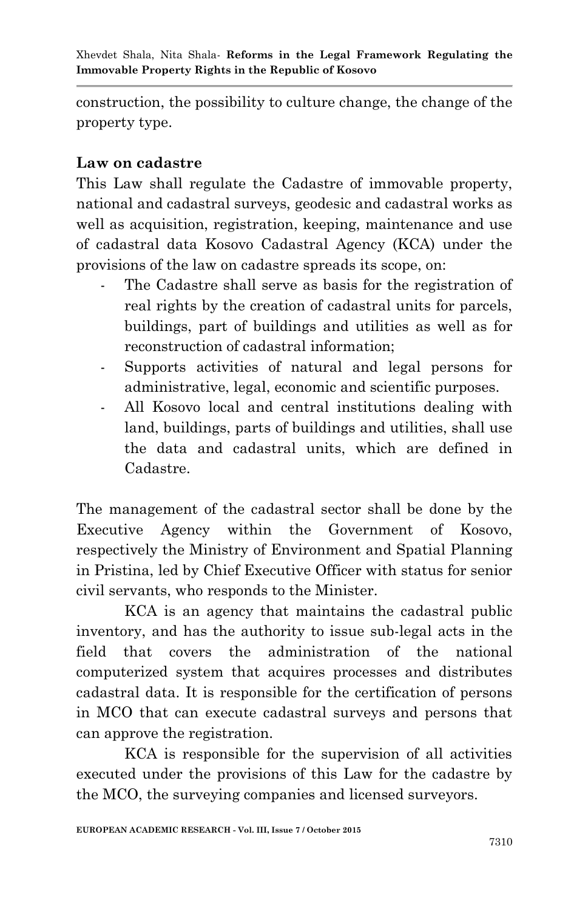construction, the possibility to culture change, the change of the property type.

## **Law on cadastre**

This Law shall regulate the Cadastre of immovable property, national and cadastral surveys, geodesic and cadastral works as well as acquisition, registration, keeping, maintenance and use of cadastral data Kosovo Cadastral Agency (KCA) under the provisions of the law on cadastre spreads its scope, on:

- The Cadastre shall serve as basis for the registration of real rights by the creation of cadastral units for parcels, buildings, part of buildings and utilities as well as for reconstruction of cadastral information;
- Supports activities of natural and legal persons for administrative, legal, economic and scientific purposes.
- All Kosovo local and central institutions dealing with land, buildings, parts of buildings and utilities, shall use the data and cadastral units, which are defined in Cadastre.

The management of the cadastral sector shall be done by the Executive Agency within the Government of Kosovo, respectively the Ministry of Environment and Spatial Planning in Pristina, led by Chief Executive Officer with status for senior civil servants, who responds to the Minister.

KCA is an agency that maintains the cadastral public inventory, and has the authority to issue sub-legal acts in the field that covers the administration of the national computerized system that acquires processes and distributes cadastral data. It is responsible for the certification of persons in MCO that can execute cadastral surveys and persons that can approve the registration.

KCA is responsible for the supervision of all activities executed under the provisions of this Law for the cadastre by the MCO, the surveying companies and licensed surveyors.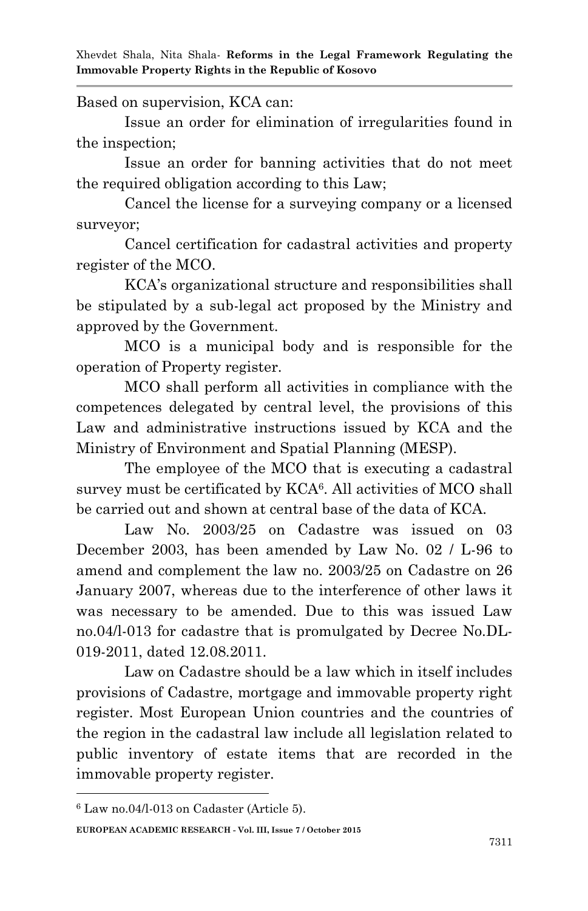Based on supervision, KCA can:

Issue an order for elimination of irregularities found in the inspection;

Issue an order for banning activities that do not meet the required obligation according to this Law;

Cancel the license for a surveying company or a licensed surveyor;

Cancel certification for cadastral activities and property register of the MCO.

KCA's organizational structure and responsibilities shall be stipulated by a sub-legal act proposed by the Ministry and approved by the Government.

MCO is a municipal body and is responsible for the operation of Property register.

MCO shall perform all activities in compliance with the competences delegated by central level, the provisions of this Law and administrative instructions issued by KCA and the Ministry of Environment and Spatial Planning (MESP).

The employee of the MCO that is executing a cadastral survey must be certificated by KCA<sup>6</sup>. All activities of MCO shall be carried out and shown at central base of the data of KCA.

Law No. 2003/25 on Cadastre was issued on 03 December 2003, has been amended by Law No. 02 / L-96 to amend and complement the law no. 2003/25 on Cadastre on 26 January 2007, whereas due to the interference of other laws it was necessary to be amended. Due to this was issued Law no.04/l-013 for cadastre that is promulgated by Decree No.DL-019-2011, dated 12.08.2011.

Law on Cadastre should be a law which in itself includes provisions of Cadastre, mortgage and immovable property right register. Most European Union countries and the countries of the region in the cadastral law include all legislation related to public inventory of estate items that are recorded in the immovable property register.

**.** 

**EUROPEAN ACADEMIC RESEARCH - Vol. III, Issue 7 / October 2015**

<sup>6</sup> Law no.04/l-013 on Cadaster (Article 5).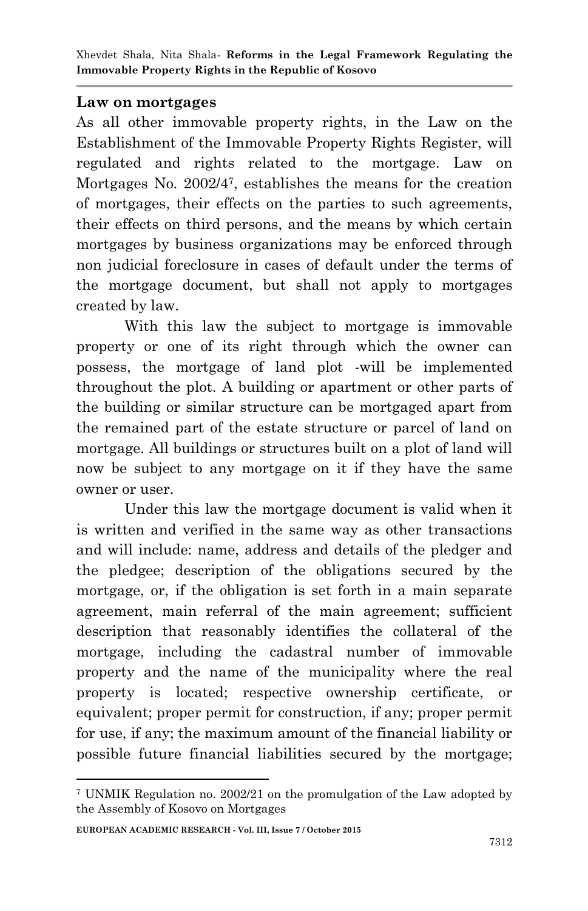#### **Law on mortgages**

As all other immovable property rights, in the Law on the Establishment of the Immovable Property Rights Register, will regulated and rights related to the mortgage. Law on Mortgages No. 2002/4<sup>7</sup> , establishes the means for the creation of mortgages, their effects on the parties to such agreements, their effects on third persons, and the means by which certain mortgages by business organizations may be enforced through non judicial foreclosure in cases of default under the terms of the mortgage document, but shall not apply to mortgages created by law.

With this law the subject to mortgage is immovable property or one of its right through which the owner can possess, the mortgage of land plot -will be implemented throughout the plot. A building or apartment or other parts of the building or similar structure can be mortgaged apart from the remained part of the estate structure or parcel of land on mortgage. All buildings or structures built on a plot of land will now be subject to any mortgage on it if they have the same owner or user.

Under this law the mortgage document is valid when it is written and verified in the same way as other transactions and will include: name, address and details of the pledger and the pledgee; description of the obligations secured by the mortgage, or, if the obligation is set forth in a main separate agreement, main referral of the main agreement; sufficient description that reasonably identifies the collateral of the mortgage, including the cadastral number of immovable property and the name of the municipality where the real property is located; respective ownership certificate, or equivalent; proper permit for construction, if any; proper permit for use, if any; the maximum amount of the financial liability or possible future financial liabilities secured by the mortgage;

1

<sup>7</sup> UNMIK Regulation no. 2002/21 on the promulgation of the Law adopted by the Assembly of Kosovo on Mortgages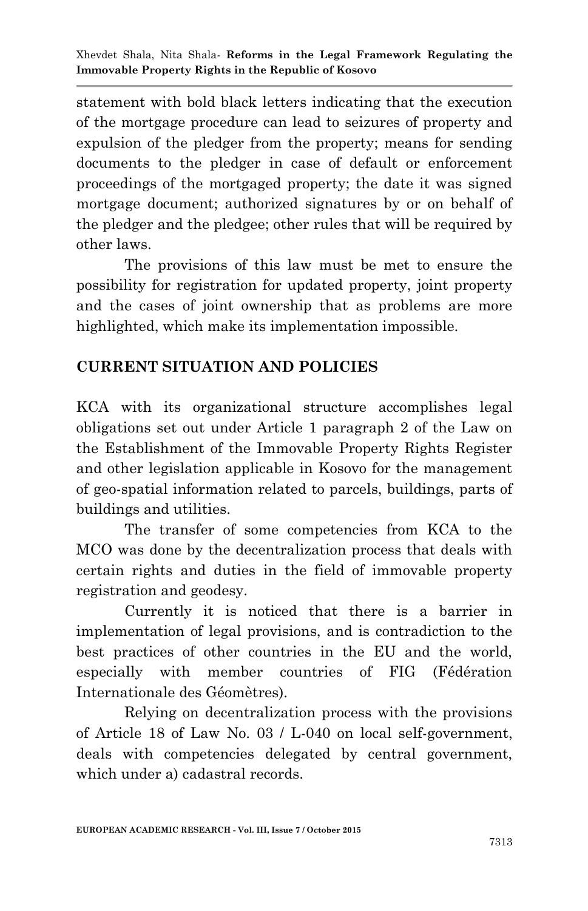statement with bold black letters indicating that the execution of the mortgage procedure can lead to seizures of property and expulsion of the pledger from the property; means for sending documents to the pledger in case of default or enforcement proceedings of the mortgaged property; the date it was signed mortgage document; authorized signatures by or on behalf of the pledger and the pledgee; other rules that will be required by other laws.

The provisions of this law must be met to ensure the possibility for registration for updated property, joint property and the cases of joint ownership that as problems are more highlighted, which make its implementation impossible.

# **CURRENT SITUATION AND POLICIES**

KCA with its organizational structure accomplishes legal obligations set out under Article 1 paragraph 2 of the Law on the Establishment of the Immovable Property Rights Register and other legislation applicable in Kosovo for the management of geo-spatial information related to parcels, buildings, parts of buildings and utilities.

The transfer of some competencies from KCA to the MCO was done by the decentralization process that deals with certain rights and duties in the field of immovable property registration and geodesy.

Currently it is noticed that there is a barrier in implementation of legal provisions, and is contradiction to the best practices of other countries in the EU and the world, especially with member countries of FIG (Fédération Internationale des Géomètres).

Relying on decentralization process with the provisions of Article 18 of Law No. 03 / L-040 on local self-government, deals with competencies delegated by central government, which under a) cadastral records.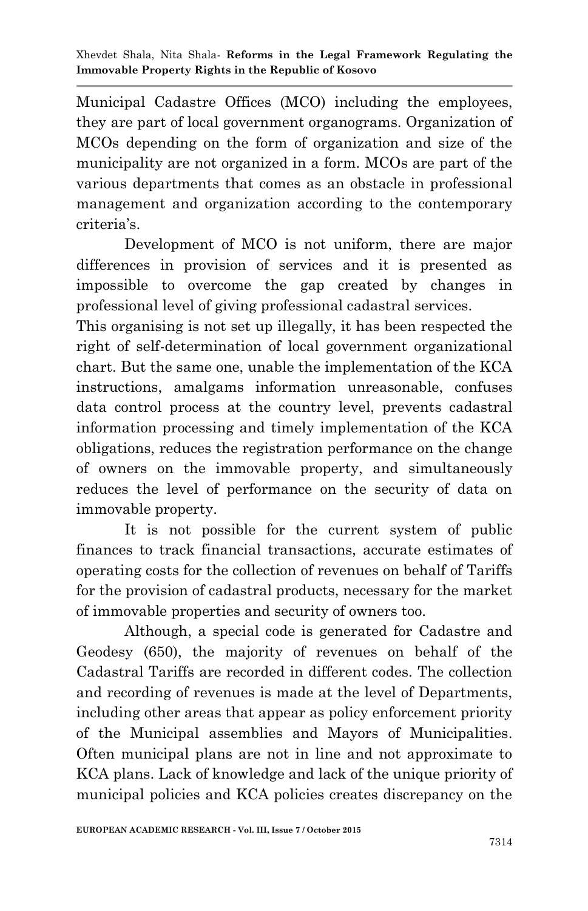Municipal Cadastre Offices (MCO) including the employees, they are part of local government organograms. Organization of MCOs depending on the form of organization and size of the municipality are not organized in a form. MCOs are part of the various departments that comes as an obstacle in professional management and organization according to the contemporary criteria's.

Development of MCO is not uniform, there are major differences in provision of services and it is presented as impossible to overcome the gap created by changes in professional level of giving professional cadastral services.

This organising is not set up illegally, it has been respected the right of self-determination of local government organizational chart. But the same one, unable the implementation of the KCA instructions, amalgams information unreasonable, confuses data control process at the country level, prevents cadastral information processing and timely implementation of the KCA obligations, reduces the registration performance on the change of owners on the immovable property, and simultaneously reduces the level of performance on the security of data on immovable property.

It is not possible for the current system of public finances to track financial transactions, accurate estimates of operating costs for the collection of revenues on behalf of Tariffs for the provision of cadastral products, necessary for the market of immovable properties and security of owners too.

Although, a special code is generated for Cadastre and Geodesy (650), the majority of revenues on behalf of the Cadastral Tariffs are recorded in different codes. The collection and recording of revenues is made at the level of Departments, including other areas that appear as policy enforcement priority of the Municipal assemblies and Mayors of Municipalities. Often municipal plans are not in line and not approximate to KCA plans. Lack of knowledge and lack of the unique priority of municipal policies and KCA policies creates discrepancy on the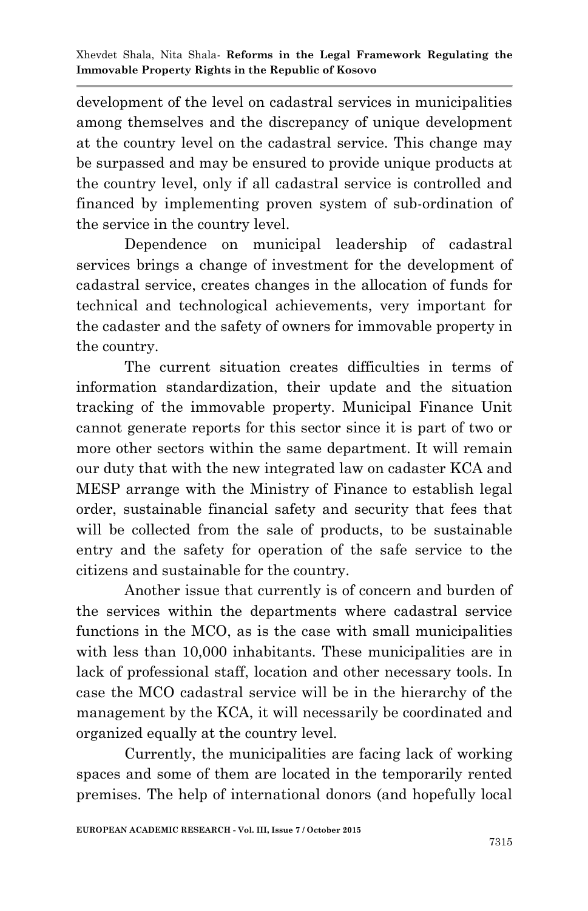development of the level on cadastral services in municipalities among themselves and the discrepancy of unique development at the country level on the cadastral service. This change may be surpassed and may be ensured to provide unique products at the country level, only if all cadastral service is controlled and financed by implementing proven system of sub-ordination of the service in the country level.

Dependence on municipal leadership of cadastral services brings a change of investment for the development of cadastral service, creates changes in the allocation of funds for technical and technological achievements, very important for the cadaster and the safety of owners for immovable property in the country.

The current situation creates difficulties in terms of information standardization, their update and the situation tracking of the immovable property. Municipal Finance Unit cannot generate reports for this sector since it is part of two or more other sectors within the same department. It will remain our duty that with the new integrated law on cadaster KCA and MESP arrange with the Ministry of Finance to establish legal order, sustainable financial safety and security that fees that will be collected from the sale of products, to be sustainable entry and the safety for operation of the safe service to the citizens and sustainable for the country.

Another issue that currently is of concern and burden of the services within the departments where cadastral service functions in the MCO, as is the case with small municipalities with less than 10,000 inhabitants. These municipalities are in lack of professional staff, location and other necessary tools. In case the MCO cadastral service will be in the hierarchy of the management by the KCA, it will necessarily be coordinated and organized equally at the country level.

Currently, the municipalities are facing lack of working spaces and some of them are located in the temporarily rented premises. The help of international donors (and hopefully local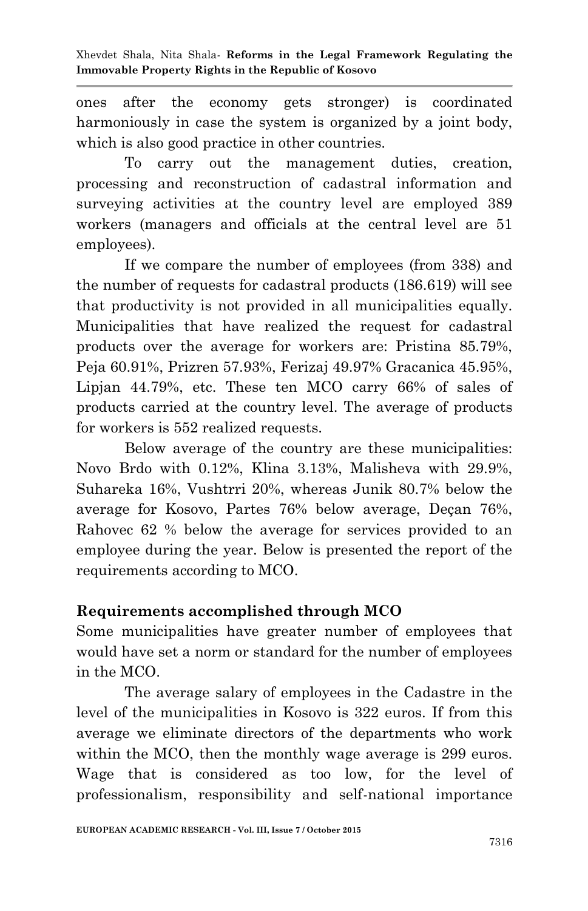ones after the economy gets stronger) is coordinated harmoniously in case the system is organized by a joint body, which is also good practice in other countries.

To carry out the management duties, creation, processing and reconstruction of cadastral information and surveying activities at the country level are employed 389 workers (managers and officials at the central level are 51 employees).

If we compare the number of employees (from 338) and the number of requests for cadastral products (186.619) will see that productivity is not provided in all municipalities equally. Municipalities that have realized the request for cadastral products over the average for workers are: Pristina 85.79%, Peja 60.91%, Prizren 57.93%, Ferizaj 49.97% Gracanica 45.95%, Lipjan 44.79%, etc. These ten MCO carry 66% of sales of products carried at the country level. The average of products for workers is 552 realized requests.

Below average of the country are these municipalities: Novo Brdo with 0.12%, Klina 3.13%, Malisheva with 29.9%, Suhareka 16%, Vushtrri 20%, whereas Junik 80.7% below the average for Kosovo, Partes 76% below average, Deçan 76%, Rahovec 62 % below the average for services provided to an employee during the year. Below is presented the report of the requirements according to MCO.

### **Requirements accomplished through MCO**

Some municipalities have greater number of employees that would have set a norm or standard for the number of employees in the MCO.

The average salary of employees in the Cadastre in the level of the municipalities in Kosovo is 322 euros. If from this average we eliminate directors of the departments who work within the MCO, then the monthly wage average is 299 euros. Wage that is considered as too low, for the level of professionalism, responsibility and self-national importance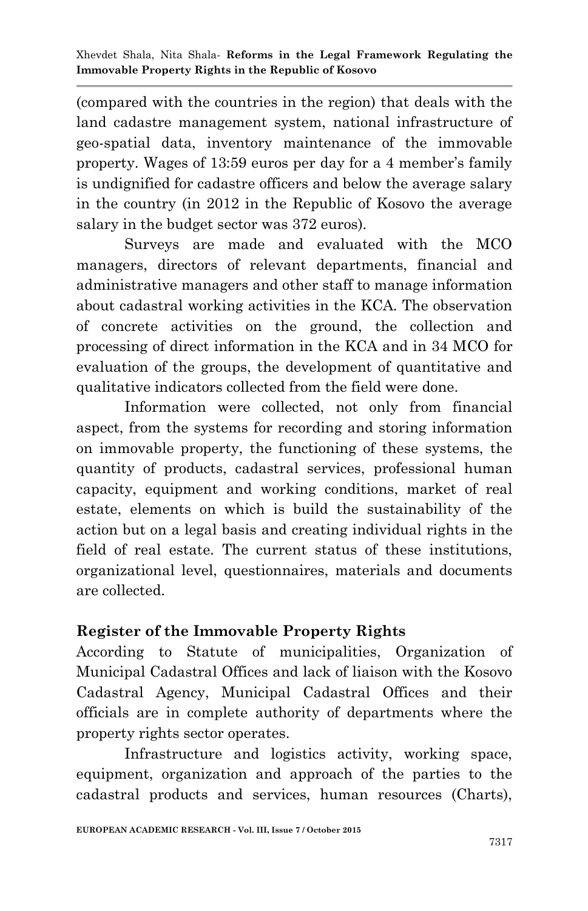(compared with the countries in the region) that deals with the land cadastre management system, national infrastructure of geo-spatial data, inventory maintenance of the immovable property. Wages of 13:59 euros per day for a 4 member's family is undignified for cadastre officers and below the average salary in the country (in 2012 in the Republic of Kosovo the average salary in the budget sector was 372 euros).

Surveys are made and evaluated with the MCO managers, directors of relevant departments, financial and administrative managers and other staff to manage information about cadastral working activities in the KCA. The observation of concrete activities on the ground, the collection and processing of direct information in the KCA and in 34 MCO for evaluation of the groups, the development of quantitative and qualitative indicators collected from the field were done.

Information were collected, not only from financial aspect, from the systems for recording and storing information on immovable property, the functioning of these systems, the quantity of products, cadastral services, professional human capacity, equipment and working conditions, market of real estate, elements on which is build the sustainability of the action but on a legal basis and creating individual rights in the field of real estate. The current status of these institutions, organizational level, questionnaires, materials and documents are collected.

# **Register of the Immovable Property Rights**

According to Statute of municipalities, Organization of Municipal Cadastral Offices and lack of liaison with the Kosovo Cadastral Agency, Municipal Cadastral Offices and their officials are in complete authority of departments where the property rights sector operates.

Infrastructure and logistics activity, working space, equipment, organization and approach of the parties to the cadastral products and services, human resources (Charts),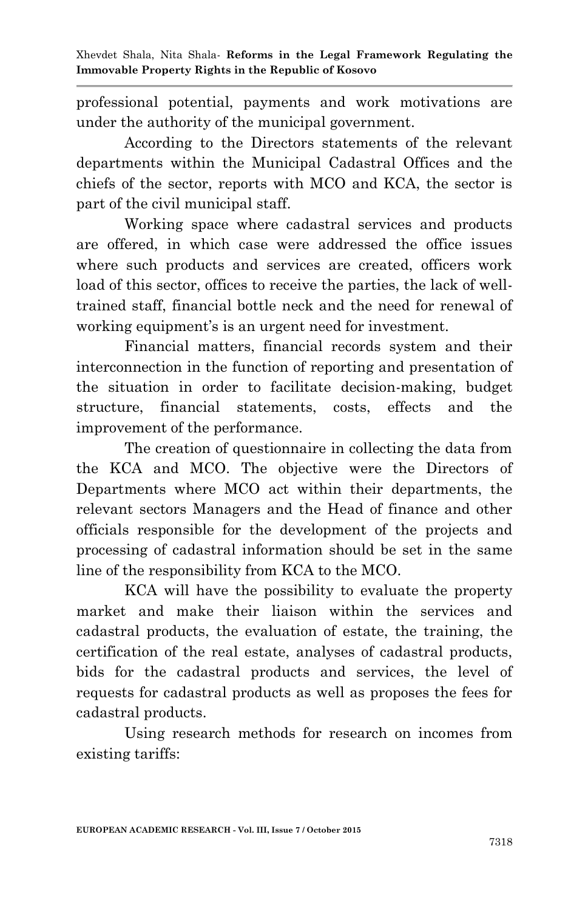professional potential, payments and work motivations are under the authority of the municipal government.

According to the Directors statements of the relevant departments within the Municipal Cadastral Offices and the chiefs of the sector, reports with MCO and KCA, the sector is part of the civil municipal staff.

Working space where cadastral services and products are offered, in which case were addressed the office issues where such products and services are created, officers work load of this sector, offices to receive the parties, the lack of welltrained staff, financial bottle neck and the need for renewal of working equipment's is an urgent need for investment.

Financial matters, financial records system and their interconnection in the function of reporting and presentation of the situation in order to facilitate decision-making, budget structure, financial statements, costs, effects and the improvement of the performance.

The creation of questionnaire in collecting the data from the KCA and MCO. The objective were the Directors of Departments where MCO act within their departments, the relevant sectors Managers and the Head of finance and other officials responsible for the development of the projects and processing of cadastral information should be set in the same line of the responsibility from KCA to the MCO.

KCA will have the possibility to evaluate the property market and make their liaison within the services and cadastral products, the evaluation of estate, the training, the certification of the real estate, analyses of cadastral products, bids for the cadastral products and services, the level of requests for cadastral products as well as proposes the fees for cadastral products.

Using research methods for research on incomes from existing tariffs: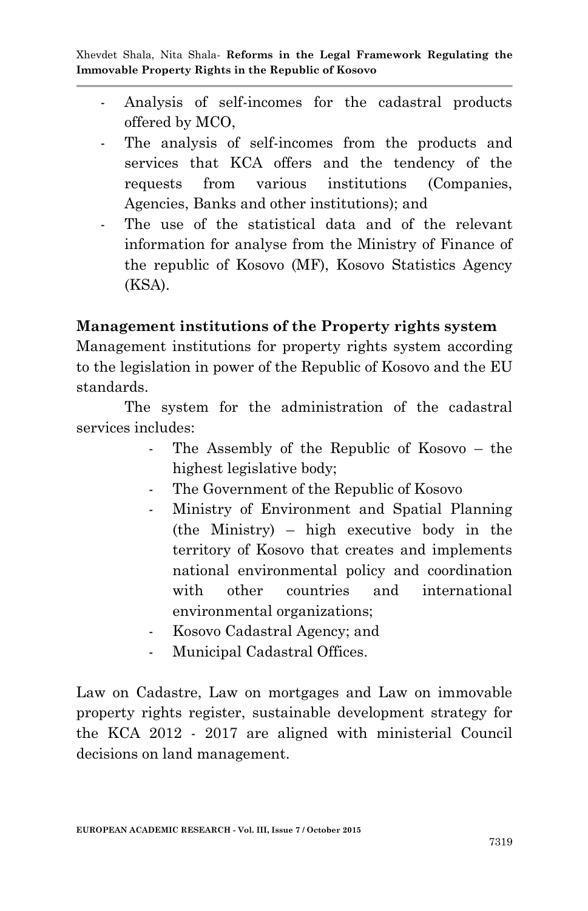- Analysis of self-incomes for the cadastral products offered by MCO,
- The analysis of self-incomes from the products and services that KCA offers and the tendency of the requests from various institutions (Companies, Agencies, Banks and other institutions); and
- The use of the statistical data and of the relevant information for analyse from the Ministry of Finance of the republic of Kosovo (MF), Kosovo Statistics Agency (KSA).

### **Management institutions of the Property rights system**

Management institutions for property rights system according to the legislation in power of the Republic of Kosovo and the EU standards.

The system for the administration of the cadastral services includes:

- The Assembly of the Republic of Kosovo the highest legislative body;
- The Government of the Republic of Kosovo
- Ministry of Environment and Spatial Planning (the Ministry) – high executive body in the territory of Kosovo that creates and implements national environmental policy and coordination with other countries and international environmental organizations;
- Kosovo Cadastral Agency; and
- Municipal Cadastral Offices.

Law on Cadastre, Law on mortgages and Law on immovable property rights register, sustainable development strategy for the KCA 2012 - 2017 are aligned with ministerial Council decisions on land management.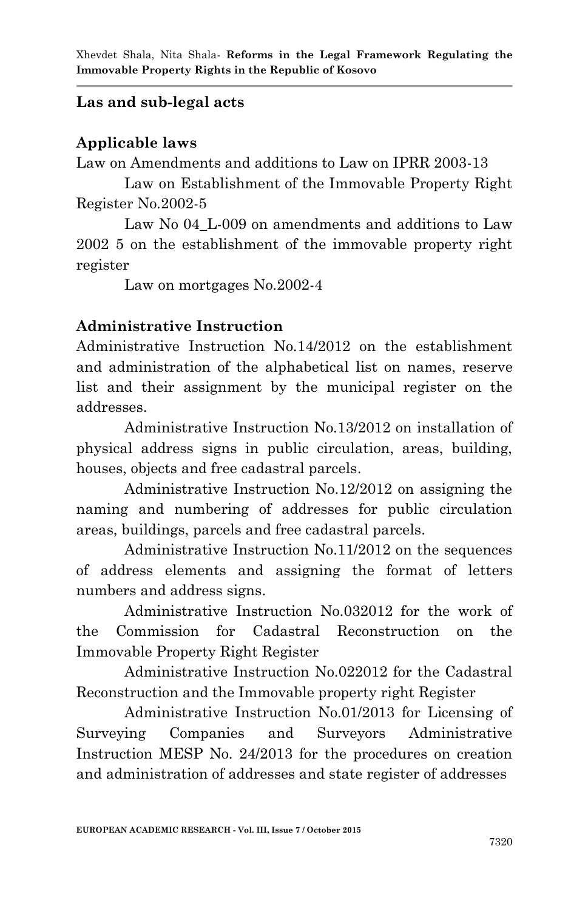## **Las and sub-legal acts**

### **Applicable laws**

Law on Amendments and additions to Law on IPRR 2003-13

Law on Establishment of the Immovable Property Right Register No.2002-5

Law No 04 L-009 on amendments and additions to Law 2002 5 on the establishment of the immovable property right register

Law on mortgages No.2002-4

### **Administrative Instruction**

Administrative Instruction No.14/2012 on the establishment and administration of the alphabetical list on names, reserve list and their assignment by the municipal register on the addresses.

Administrative Instruction No.13/2012 on installation of physical address signs in public circulation, areas, building, houses, objects and free cadastral parcels.

Administrative Instruction No.12/2012 on assigning the naming and numbering of addresses for public circulation areas, buildings, parcels and free cadastral parcels.

Administrative Instruction No.11/2012 on the sequences of address elements and assigning the format of letters numbers and address signs.

Administrative Instruction No.032012 for the work of the Commission for Cadastral Reconstruction on the Immovable Property Right Register

Administrative Instruction No.022012 for the Cadastral Reconstruction and the Immovable property right Register

Administrative Instruction No.01/2013 for Licensing of Surveying Companies and Surveyors Administrative Instruction MESP No. 24/2013 for the procedures on creation and administration of addresses and state register of addresses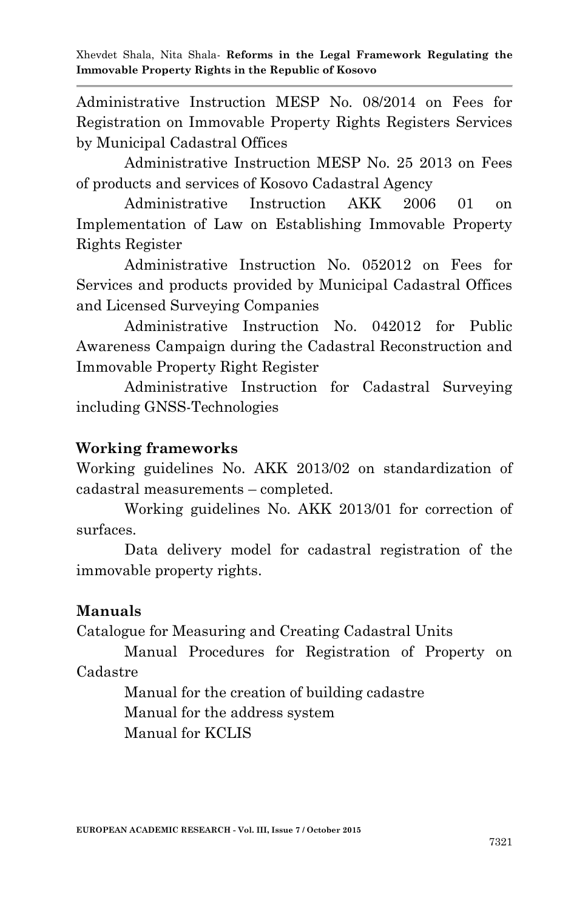Administrative Instruction MESP No. 08/2014 on Fees for Registration on Immovable Property Rights Registers Services by Municipal Cadastral Offices

Administrative Instruction MESP No. 25 2013 on Fees of products and services of Kosovo Cadastral Agency

Administrative Instruction AKK 2006 01 on Implementation of Law on Establishing Immovable Property Rights Register

Administrative Instruction No. 052012 on Fees for Services and products provided by Municipal Cadastral Offices and Licensed Surveying Companies

Administrative Instruction No. 042012 for Public Awareness Campaign during the Cadastral Reconstruction and Immovable Property Right Register

Administrative Instruction for Cadastral Surveying including GNSS-Technologies

## **Working frameworks**

Working guidelines No. AKK 2013/02 on standardization of cadastral measurements – completed.

Working guidelines No. AKK 2013/01 for correction of surfaces.

Data delivery model for cadastral registration of the immovable property rights.

### **Manuals**

Catalogue for Measuring and Creating Cadastral Units

Manual Procedures for Registration of Property on Cadastre

> Manual for the creation of building cadastre Manual for the address system Manual for KCLIS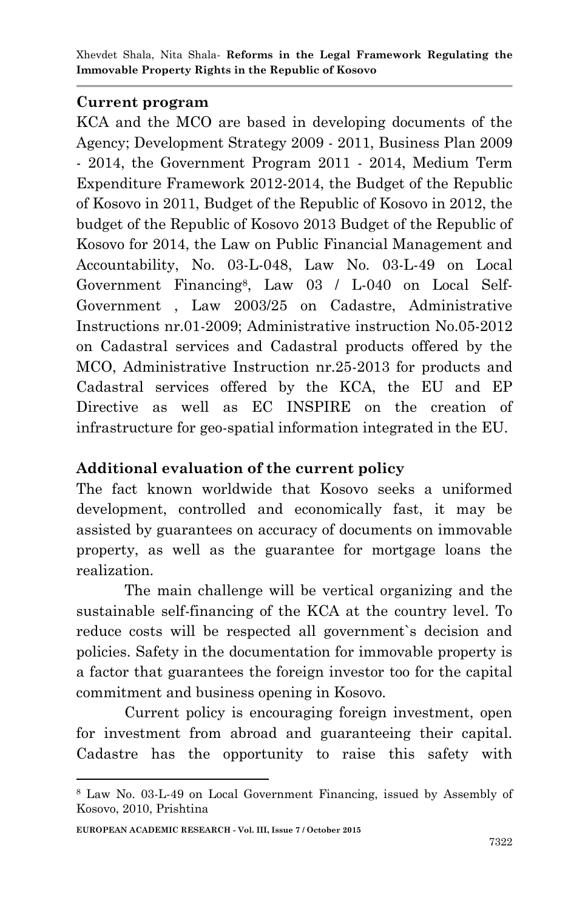### **Current program**

KCA and the MCO are based in developing documents of the Agency; Development Strategy 2009 - 2011, Business Plan 2009 - 2014, the Government Program 2011 - 2014, Medium Term Expenditure Framework 2012-2014, the Budget of the Republic of Kosovo in 2011, Budget of the Republic of Kosovo in 2012, the budget of the Republic of Kosovo 2013 Budget of the Republic of Kosovo for 2014, the Law on Public Financial Management and Accountability, No. 03-L-048, Law No. 03-L-49 on Local Government Financing<sup>8</sup> , Law 03 / L-040 on Local Self-Government , Law 2003/25 on Cadastre, Administrative Instructions nr.01-2009; Administrative instruction No.05-2012 on Cadastral services and Cadastral products offered by the MCO, Administrative Instruction nr.25-2013 for products and Cadastral services offered by the KCA, the EU and EP Directive as well as EC INSPIRE on the creation of infrastructure for geo-spatial information integrated in the EU.

## **Additional evaluation of the current policy**

The fact known worldwide that Kosovo seeks a uniformed development, controlled and economically fast, it may be assisted by guarantees on accuracy of documents on immovable property, as well as the guarantee for mortgage loans the realization.

The main challenge will be vertical organizing and the sustainable self-financing of the KCA at the country level. To reduce costs will be respected all government`s decision and policies. Safety in the documentation for immovable property is a factor that guarantees the foreign investor too for the capital commitment and business opening in Kosovo.

Current policy is encouraging foreign investment, open for investment from abroad and guaranteeing their capital. Cadastre has the opportunity to raise this safety with

1

<sup>8</sup> Law No. 03-L-49 on Local Government Financing, issued by Assembly of Kosovo, 2010, Prishtina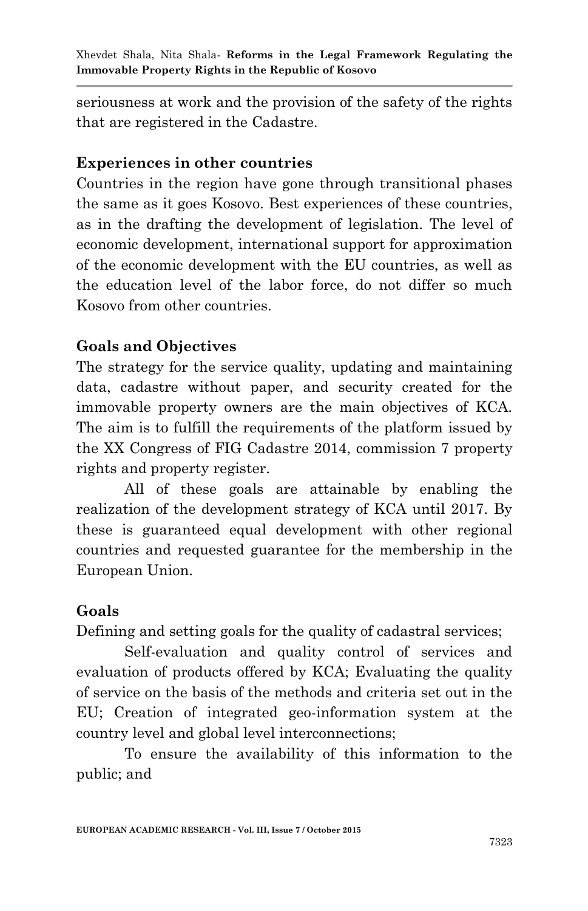seriousness at work and the provision of the safety of the rights that are registered in the Cadastre.

### **Experiences in other countries**

Countries in the region have gone through transitional phases the same as it goes Kosovo. Best experiences of these countries, as in the drafting the development of legislation. The level of economic development, international support for approximation of the economic development with the EU countries, as well as the education level of the labor force, do not differ so much Kosovo from other countries.

## **Goals and Objectives**

The strategy for the service quality, updating and maintaining data, cadastre without paper, and security created for the immovable property owners are the main objectives of KCA. The aim is to fulfill the requirements of the platform issued by the XX Congress of FIG Cadastre 2014, commission 7 property rights and property register.

All of these goals are attainable by enabling the realization of the development strategy of KCA until 2017. By these is guaranteed equal development with other regional countries and requested guarantee for the membership in the European Union.

## **Goals**

Defining and setting goals for the quality of cadastral services;

Self-evaluation and quality control of services and evaluation of products offered by KCA; Evaluating the quality of service on the basis of the methods and criteria set out in the EU; Creation of integrated geo-information system at the country level and global level interconnections;

To ensure the availability of this information to the public; and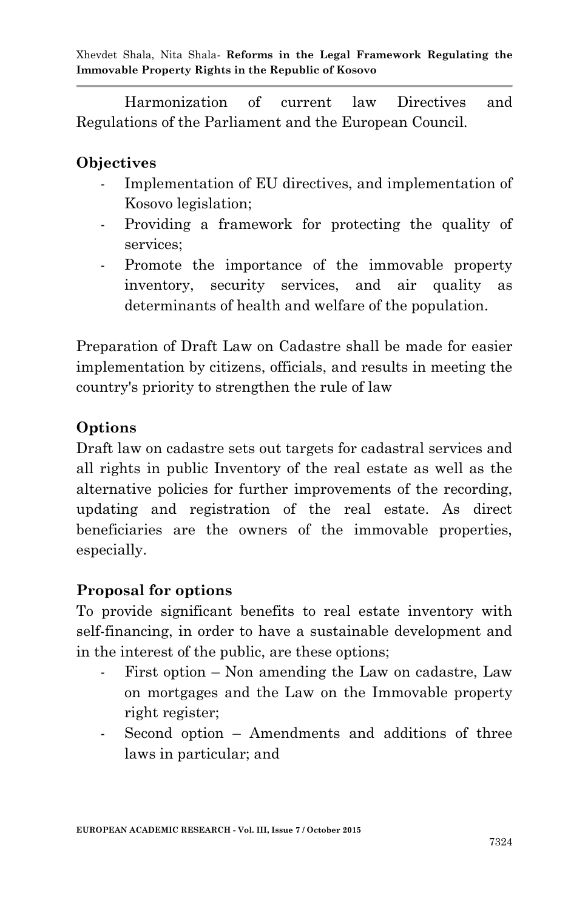Harmonization of current law Directives and Regulations of the Parliament and the European Council.

#### **Objectives**

- Implementation of EU directives, and implementation of Kosovo legislation;
- Providing a framework for protecting the quality of services;
- Promote the importance of the immovable property inventory, security services, and air quality as determinants of health and welfare of the population.

Preparation of Draft Law on Cadastre shall be made for easier implementation by citizens, officials, and results in meeting the country's priority to strengthen the rule of law

### **Options**

Draft law on cadastre sets out targets for cadastral services and all rights in public Inventory of the real estate as well as the alternative policies for further improvements of the recording, updating and registration of the real estate. As direct beneficiaries are the owners of the immovable properties, especially.

#### **Proposal for options**

To provide significant benefits to real estate inventory with self-financing, in order to have a sustainable development and in the interest of the public, are these options;

- First option Non amending the Law on cadastre, Law on mortgages and the Law on the Immovable property right register;
- Second option Amendments and additions of three laws in particular; and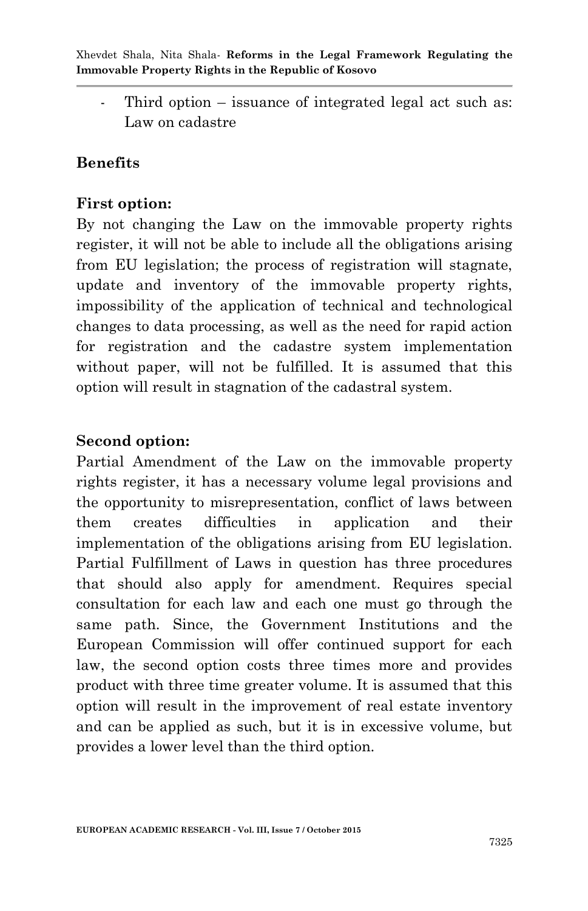Third option  $-$  issuance of integrated legal act such as: Law on cadastre

#### **Benefits**

#### **First option:**

By not changing the Law on the immovable property rights register, it will not be able to include all the obligations arising from EU legislation; the process of registration will stagnate, update and inventory of the immovable property rights, impossibility of the application of technical and technological changes to data processing, as well as the need for rapid action for registration and the cadastre system implementation without paper, will not be fulfilled. It is assumed that this option will result in stagnation of the cadastral system.

#### **Second option:**

Partial Amendment of the Law on the immovable property rights register, it has a necessary volume legal provisions and the opportunity to misrepresentation, conflict of laws between them creates difficulties in application and their implementation of the obligations arising from EU legislation. Partial Fulfillment of Laws in question has three procedures that should also apply for amendment. Requires special consultation for each law and each one must go through the same path. Since, the Government Institutions and the European Commission will offer continued support for each law, the second option costs three times more and provides product with three time greater volume. It is assumed that this option will result in the improvement of real estate inventory and can be applied as such, but it is in excessive volume, but provides a lower level than the third option.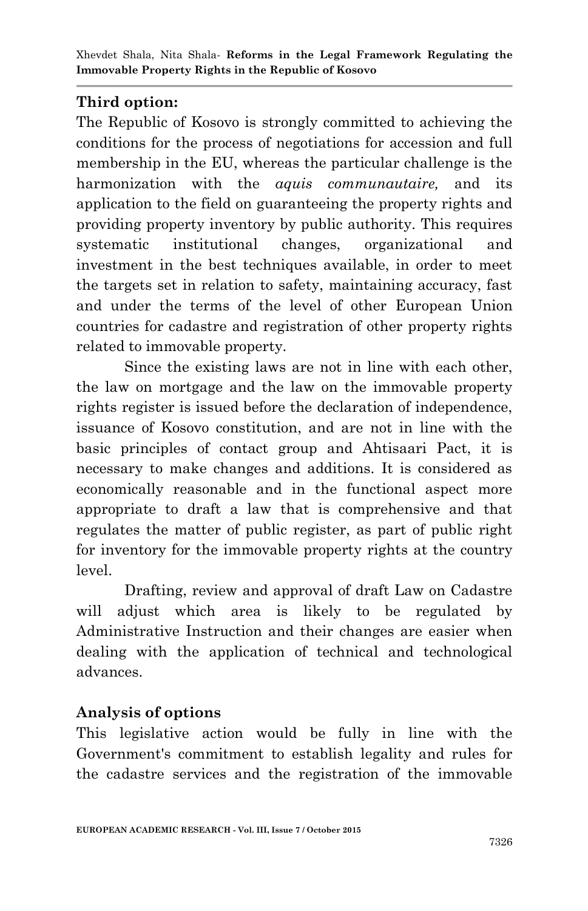# **Third option:**

The Republic of Kosovo is strongly committed to achieving the conditions for the process of negotiations for accession and full membership in the EU, whereas the particular challenge is the harmonization with the *aquis communautaire,* and its application to the field on guaranteeing the property rights and providing property inventory by public authority. This requires systematic institutional changes, organizational and investment in the best techniques available, in order to meet the targets set in relation to safety, maintaining accuracy, fast and under the terms of the level of other European Union countries for cadastre and registration of other property rights related to immovable property.

Since the existing laws are not in line with each other, the law on mortgage and the law on the immovable property rights register is issued before the declaration of independence, issuance of Kosovo constitution, and are not in line with the basic principles of contact group and Ahtisaari Pact, it is necessary to make changes and additions. It is considered as economically reasonable and in the functional aspect more appropriate to draft a law that is comprehensive and that regulates the matter of public register, as part of public right for inventory for the immovable property rights at the country level.

Drafting, review and approval of draft Law on Cadastre will adjust which area is likely to be regulated by Administrative Instruction and their changes are easier when dealing with the application of technical and technological advances.

# **Analysis of options**

This legislative action would be fully in line with the Government's commitment to establish legality and rules for the cadastre services and the registration of the immovable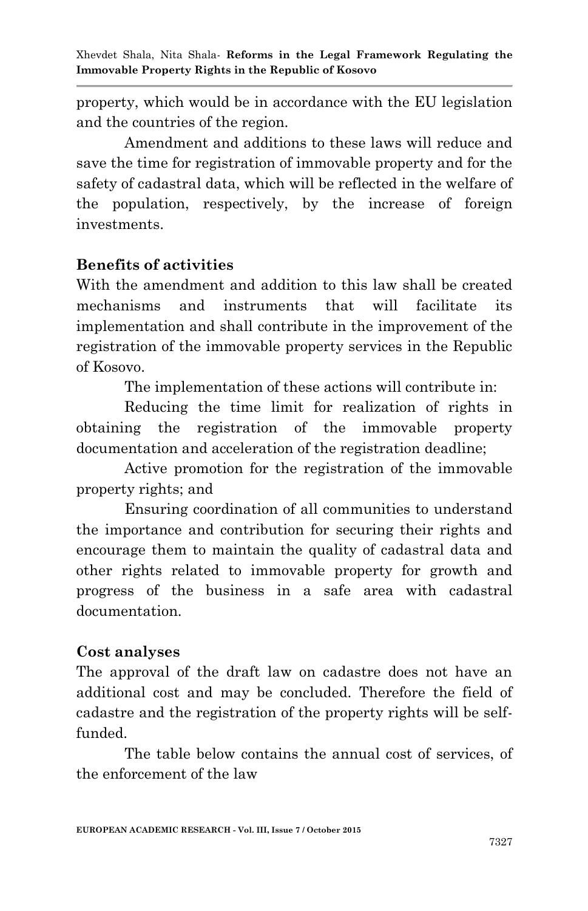property, which would be in accordance with the EU legislation and the countries of the region.

Amendment and additions to these laws will reduce and save the time for registration of immovable property and for the safety of cadastral data, which will be reflected in the welfare of the population, respectively, by the increase of foreign investments.

#### **Benefits of activities**

With the amendment and addition to this law shall be created mechanisms and instruments that will facilitate its implementation and shall contribute in the improvement of the registration of the immovable property services in the Republic of Kosovo.

The implementation of these actions will contribute in:

Reducing the time limit for realization of rights in obtaining the registration of the immovable property documentation and acceleration of the registration deadline;

Active promotion for the registration of the immovable property rights; and

Ensuring coordination of all communities to understand the importance and contribution for securing their rights and encourage them to maintain the quality of cadastral data and other rights related to immovable property for growth and progress of the business in a safe area with cadastral documentation.

#### **Cost analyses**

The approval of the draft law on cadastre does not have an additional cost and may be concluded. Therefore the field of cadastre and the registration of the property rights will be selffunded.

The table below contains the annual cost of services, of the enforcement of the law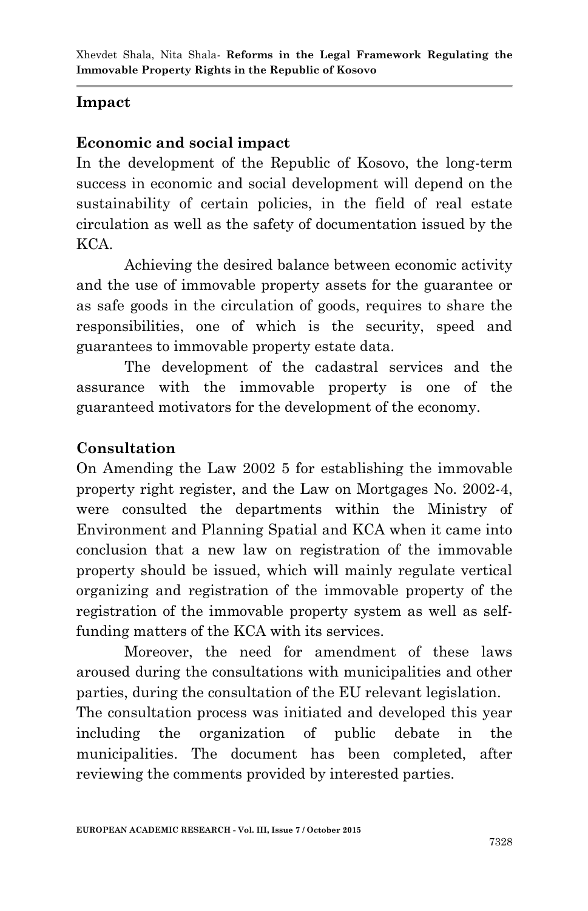# **Impact**

## **Economic and social impact**

In the development of the Republic of Kosovo, the long-term success in economic and social development will depend on the sustainability of certain policies, in the field of real estate circulation as well as the safety of documentation issued by the KCA.

Achieving the desired balance between economic activity and the use of immovable property assets for the guarantee or as safe goods in the circulation of goods, requires to share the responsibilities, one of which is the security, speed and guarantees to immovable property estate data.

The development of the cadastral services and the assurance with the immovable property is one of the guaranteed motivators for the development of the economy.

## **Consultation**

On Amending the Law 2002 5 for establishing the immovable property right register, and the Law on Mortgages No. 2002-4, were consulted the departments within the Ministry of Environment and Planning Spatial and KCA when it came into conclusion that a new law on registration of the immovable property should be issued, which will mainly regulate vertical organizing and registration of the immovable property of the registration of the immovable property system as well as selffunding matters of the KCA with its services.

Moreover, the need for amendment of these laws aroused during the consultations with municipalities and other parties, during the consultation of the EU relevant legislation. The consultation process was initiated and developed this year including the organization of public debate in the municipalities. The document has been completed, after reviewing the comments provided by interested parties.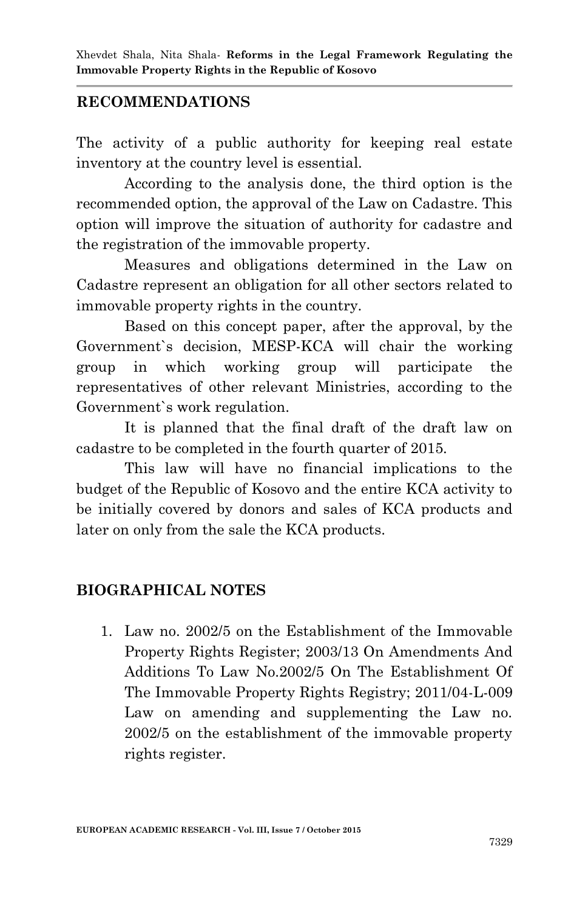### **RECOMMENDATIONS**

The activity of a public authority for keeping real estate inventory at the country level is essential.

According to the analysis done, the third option is the recommended option, the approval of the Law on Cadastre. This option will improve the situation of authority for cadastre and the registration of the immovable property.

Measures and obligations determined in the Law on Cadastre represent an obligation for all other sectors related to immovable property rights in the country.

Based on this concept paper, after the approval, by the Government`s decision, MESP-KCA will chair the working group in which working group will participate the representatives of other relevant Ministries, according to the Government`s work regulation.

It is planned that the final draft of the draft law on cadastre to be completed in the fourth quarter of 2015.

This law will have no financial implications to the budget of the Republic of Kosovo and the entire KCA activity to be initially covered by donors and sales of KCA products and later on only from the sale the KCA products.

### **BIOGRAPHICAL NOTES**

1. Law no. 2002/5 on the Establishment of the Immovable Property Rights Register; 2003/13 On Amendments And Additions To Law No.2002/5 On The Establishment Of The Immovable Property Rights Registry; 2011/04-L-009 Law on amending and supplementing the Law no. 2002/5 on the establishment of the immovable property rights register.